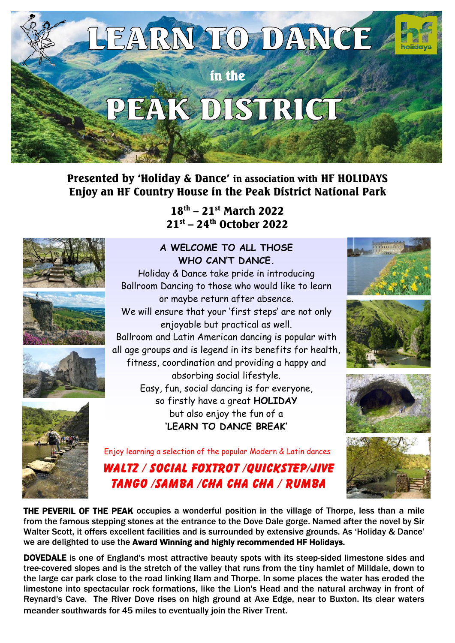

Presented by 'Holiday & Dance' in association with HF HOLIDAYS Enjoy an HF Country House in the Peak District National Park

> 18th – 21st March 2022 21st – 24th October 2022









## **A WELCOME TO ALL THOSE WHO CAN'T DANCE.**









Enjoy learning a selection of the popular Modern & Latin dances

# WALTZ / SOCIAL FOXTROT /OUICKSTEP/JIVE TANGO /SAMBA /CHA CHA CHA / RUMBA



THE PEVERIL OF THE PEAK occupies a wonderful position in the village of Thorpe, less than a mile from the famous stepping stones at the entrance to the Dove Dale gorge. Named after the novel by Sir Walter Scott, it offers excellent facilities and is surrounded by extensive grounds. As 'Holiday & Dance' we are delighted to use the Award Winning and highly recommended HF Holidays.

DOVEDALE is one of England's most attractive beauty spots with its steep-sided limestone sides and tree-covered slopes and is the stretch of the valley that runs from the tiny hamlet of Milldale, down to the large car park close to the road linking Ilam and Thorpe. In some places the water has eroded the limestone into spectacular rock formations, like the Lion's Head and the natural archway in front of Reynard's Cave. The River Dove rises on high ground at Axe Edge, near to Buxton. Its clear waters meander southwards for 45 miles to eventually join the River Trent.